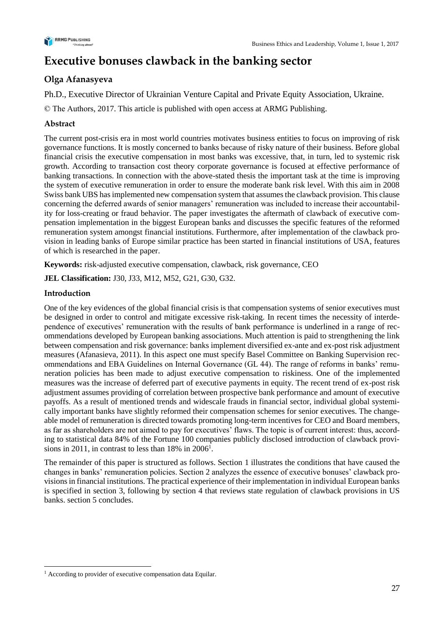

# **Executive bonuses clawback in the banking sector**

## **Olga Afanasyeva**

Ph.D., Executive Director of Ukrainian Venture Capital and Private Equity Association, Ukraine.

© The Authors, 2017. This article is published with open access at ARMG Publishing.

## **Abstract**

The current post-crisis era in most world countries motivates business entities to focus on improving of risk governance functions. It is mostly concerned to banks because of risky nature of their business. Before global financial crisis the executive compensation in most banks was excessive, that, in turn, led to systemic risk growth. According to transaction cost theory corporate governance is focused at effective performance of banking transactions. In connection with the above-stated thesis the important task at the time is improving the system of executive remuneration in order to ensure the moderate bank risk level. With this aim in 2008 Swiss bank UBS has implemented new compensation system that assumes the clawback provision. This clause concerning the deferred awards of senior managers' remuneration was included to increase their accountability for loss-creating or fraud behavior. The paper investigates the aftermath of clawback of executive compensation implementation in the biggest European banks and discusses the specific features of the reformed remuneration system amongst financial institutions. Furthermore, after implementation of the clawback provision in leading banks of Europe similar practice has been started in financial institutions of USA, features of which is researched in the paper.

**Keywords:** risk-adjusted executive compensation, clawback, risk governance, CEO

**JEL Classification:** J30, J33, M12, M52, G21, G30, G32.

### **Introduction**

 $\overline{a}$ 

One of the key evidences of the global financial crisis is that compensation systems of senior executives must be designed in order to control and mitigate excessive risk-taking. In recent times the necessity of interdependence of executives' remuneration with the results of bank performance is underlined in a range of recommendations developed by European banking associations. Much attention is paid to strengthening the link between compensation and risk governance: banks implement diversified ex-ante and ex-post risk adjustment measures (Afanasieva, 2011). In this aspect one must specify Basel Committee on Banking Supervision recommendations and EBA Guidelines on Internal Governance (GL 44). The range of reforms in banks' remuneration policies has been made to adjust executive compensation to riskiness. One of the implemented measures was the increase of deferred part of executive payments in equity. The recent trend of ex-post risk adjustment assumes providing of correlation between prospective bank performance and amount of executive payoffs. As a result of mentioned trends and widescale frauds in financial sector, individual global systemically important banks have slightly reformed their compensation schemes for senior executives. The changeable model of remuneration is directed towards promoting long-term incentives for CEO and Board members, as far as shareholders are not aimed to pay for executives' flaws. The topic is of current interest: thus, according to statistical data 84% of the Fortune 100 companies publicly disclosed introduction of clawback provisions in 2011, in contrast to less than  $18\%$  in  $2006<sup>1</sup>$ .

The remainder of this paper is structured as follows. Section 1 illustrates the conditions that have caused the changes in banks' remuneration policies. Section 2 analyzes the essence of executive bonuses' clawback provisions in financial institutions. The practical experience of their implementation in individual European banks is specified in section 3, following by section 4 that reviews state regulation of clawback provisions in US banks. section 5 concludes.

<sup>&</sup>lt;sup>1</sup> According to provider of executive compensation data Equilar.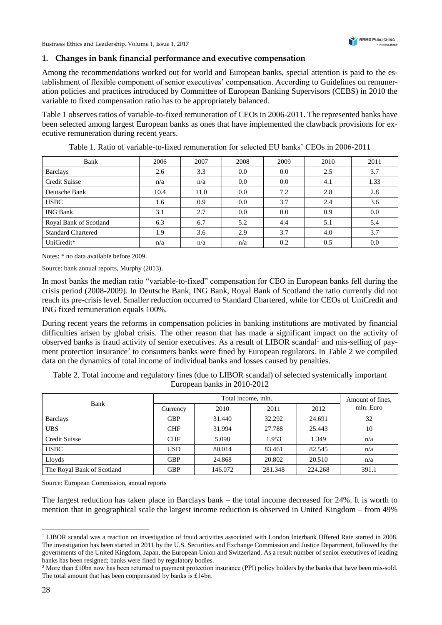

Business Ethics and Leadership, Volume 1, Issue 1, 2017

#### **1. Changes in bank financial performance and executive compensation**

Among the recommendations worked out for world and European banks, special attention is paid to the establishment of flexible component of senior executives' compensation. According to Guidelines on remuneration policies and practices introduced by Committee of European Banking Supervisors (CEBS) in 2010 the variable to fixed compensation ratio has to be appropriately balanced.

Table 1 observes ratios of variable-to-fixed remuneration of CEOs in 2006-2011. The represented banks have been selected among largest European banks as ones that have implemented the clawback provisions for executive remuneration during recent years.

| Bank                      | 2006 | 2007 | 2008 | 2009 | 2010 | 2011 |
|---------------------------|------|------|------|------|------|------|
| <b>Barclays</b>           | 2.6  | 3.3  | 0.0  | 0.0  | 2.5  | 3.7  |
| Credit Suisse             | n/a  | n/a  | 0.0  | 0.0  | 4.1  | 1.33 |
| Deutsche Bank             | 10.4 | 11.0 | 0.0  | 7.2  | 2.8  | 2.8  |
| <b>HSBC</b>               | 1.6  | 0.9  | 0.0  | 3.7  | 2.4  | 3.6  |
| <b>ING Bank</b>           | 3.1  | 2.7  | 0.0  | 0.0  | 0.9  | 0.0  |
| Royal Bank of Scotland    | 6.3  | 6.7  | 5.2  | 4.4  | 5.1  | 5.4  |
| <b>Standard Chartered</b> | 1.9  | 3.6  | 2.9  | 3.7  | 4.0  | 3.7  |
| UniCredit*                | n/a  | n/a  | n/a  | 0.2  | 0.5  | 0.0  |

Table 1. Ratio of variable-to-fixed remuneration for selected EU banks' CEOs in 2006-2011

Notes: \* no data available before 2009.

Source: bank annual reports, Murphy (2013).

In most banks the median ratio "variable-to-fixed" compensation for CEO in European banks fell during the crisis period (2008-2009). In Deutsche Bank, ING Bank, Royal Bank of Scotland the ratio currently did not reach its pre-crisis level. Smaller reduction occurred to Standard Chartered, while for CEOs of UniCredit and ING fixed remuneration equals 100%.

During recent years the reforms in compensation policies in banking institutions are motivated by financial difficulties arisen by global crisis. The other reason that has made a significant impact on the activity of observed banks is fraud activity of senior executives. As a result of LIBOR scandal<sup>1</sup> and mis-selling of payment protection insurance<sup>2</sup> to consumers banks were fined by European regulators. In Table 2 we compiled data on the dynamics of total income of individual banks and losses caused by penalties.

Table 2. Total income and regulatory fines (due to LIBOR scandal) of selected systemically important European banks in 2010-2012

| Bank                       |            | Amount of fines. |         |         |           |
|----------------------------|------------|------------------|---------|---------|-----------|
|                            | Currency   | 2010             | 2011    | 2012    | mln. Euro |
| <b>Barclays</b>            | <b>GBP</b> | 31.440           | 32.292  | 24.691  | 32        |
| <b>UBS</b>                 | <b>CHF</b> | 31.994           | 27.788  | 25.443  | 10        |
| <b>Credit Suisse</b>       | <b>CHF</b> | 5.098            | 1.953   | 1.349   | n/a       |
| <b>HSBC</b>                | <b>USD</b> | 80.014           | 83.461  | 82.545  | n/a       |
| Lloyds                     | <b>GBP</b> | 24.868           | 20.802  | 20.510  | n/a       |
| The Royal Bank of Scotland | GBP        | 146.072          | 281.348 | 224.268 | 391.1     |

Source: European Commission, annual reports

The largest reduction has taken place in Barclays bank – the total income decreased for 24%. It is worth to mention that in geographical scale the largest income reduction is observed in United Kingdom – from 49%

<sup>1</sup> <sup>1</sup> LIBOR scandal was a reaction on investigation of fraud activities associated with London Interbank Offered Rate started in 2008. The investigation has been started in 2011 by the U.S. Securities and Exchange Commission and Justice Department, followed by the governments of the United Kingdom, Japan, the European Union and Switzerland. As a result number of senior executives of leading banks has been resigned; banks were fined by regulatory bodies.

<sup>&</sup>lt;sup>2</sup> More than £10bn now has been returned to payment protection insurance (PPI) policy holders by the banks that have been mis-sold. The total amount that has been compensated by banks is £14bn.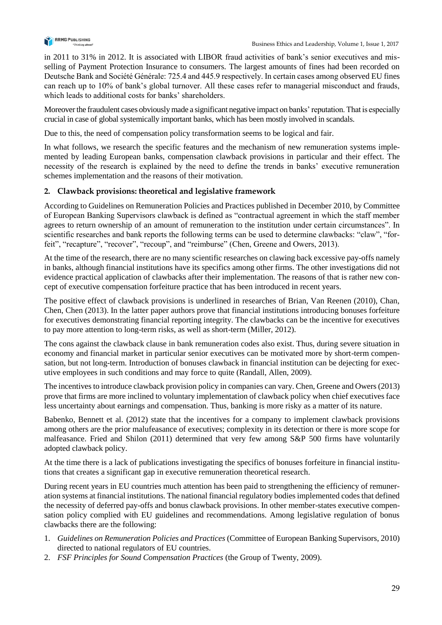

in 2011 to 31% in 2012. It is associated with LIBOR fraud activities of bank's senior executives and misselling of Payment Protection Insurance to consumers. The largest amounts of fines had been recorded on Deutsche Bank and Société Générale: 725.4 and 445.9 respectively. In certain cases among observed EU fines can reach up to 10% of bank's global turnover. All these cases refer to managerial misconduct and frauds, which leads to additional costs for banks' shareholders.

Moreover the fraudulent cases obviously made a significant negative impact on banks' reputation. That is especially crucial in case of global systemically important banks, which has been mostly involved in scandals.

Due to this, the need of compensation policy transformation seems to be logical and fair.

In what follows, we research the specific features and the mechanism of new remuneration systems implemented by leading European banks, compensation clawback provisions in particular and their effect. The necessity of the research is explained by the need to define the trends in banks' executive remuneration schemes implementation and the reasons of their motivation.

#### **2. Clawback provisions: theoretical and legislative framework**

According to Guidelines on Remuneration Policies and Practices published in December 2010, by Committee of European Banking Supervisors clawback is defined as "contractual agreement in which the staff member agrees to return ownership of an amount of remuneration to the institution under certain circumstances". In scientific researches and bank reports the following terms can be used to determine clawbacks: "claw", "forfeit", "recapture", "recover", "recoup", and "reimburse" (Chen, Greene and Owers, 2013).

At the time of the research, there are no many scientific researches on clawing back excessive pay-offs namely in banks, although financial institutions have its specifics among other firms. The other investigations did not evidence practical application of clawbacks after their implementation. The reasons of that is rather new concept of executive compensation forfeiture practice that has been introduced in recent years.

The positive effect of clawback provisions is underlined in researches of Brian, Van Reenen (2010), Chan, Chen, Chen (2013). In the latter paper authors prove that financial institutions introducing bonuses forfeiture for executives demonstrating financial reporting integrity. The clawbacks can be the incentive for executives to pay more attention to long-term risks, as well as short-term (Miller, 2012).

The cons against the clawback clause in bank remuneration codes also exist. Thus, during severe situation in economy and financial market in particular senior executives can be motivated more by short-term compensation, but not long-term. Introduction of bonuses clawback in financial institution can be dejecting for executive employees in such conditions and may force to quite (Randall, Allen, 2009).

The incentives to introduce clawback provision policy in companies can vary. Chen, Greene and Owers (2013) prove that firms are more inclined to voluntary implementation of clawback policy when chief executives face less uncertainty about earnings and compensation. Thus, banking is more risky as a matter of its nature.

Babenko, Bennett et al. (2012) state that the incentives for a company to implement clawback provisions among others are the prior malufeasance of executives; complexity in its detection or there is more scope for malfeasance. Fried and Shilon (2011) determined that very few among S&P 500 firms have voluntarily adopted clawback policy.

At the time there is a lack of publications investigating the specifics of bonuses forfeiture in financial institutions that creates a significant gap in executive remuneration theoretical research.

During recent years in EU countries much attention has been paid to strengthening the efficiency of remuneration systems at financial institutions. The national financial regulatory bodies implemented codes that defined the necessity of deferred pay-offs and bonus clawback provisions. In other member-states executive compensation policy complied with EU guidelines and recommendations. Among legislative regulation of bonus clawbacks there are the following:

- 1. *Guidelines on Remuneration Policies and Practices* (Committee of European Banking Supervisors, 2010) directed to national regulators of EU countries.
- 2. *FSF Principles for Sound Compensation Practices* (the Group of Twenty, 2009).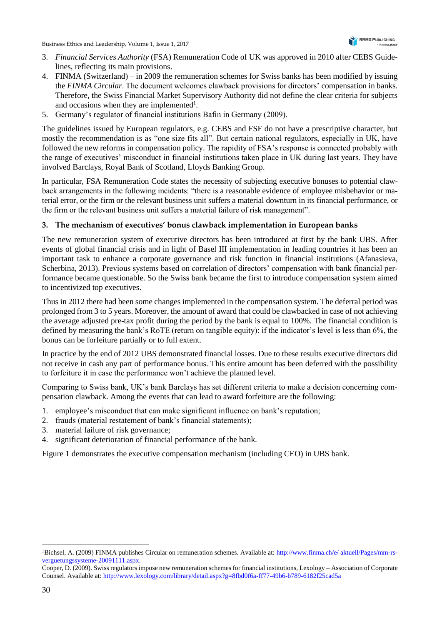- 3. *Financial Services Authority* (FSA) Remuneration Code of UK was approved in 2010 after CEBS Guidelines, reflecting its main provisions.
- 4. FINMA (Switzerland) in 2009 the remuneration schemes for Swiss banks has been modified by issuing the *FINMA Circular*. The document welcomes clawback provisions for directors' compensation in banks. Therefore, the Swiss Financial Market Supervisory Authority did not define the clear criteria for subjects and occasions when they are implemented<sup>1</sup>.
- 5. Germany's regulator of financial institutions Bafin in Germany (2009).

The guidelines issued by European regulators, e.g. CEBS and FSF do not have a prescriptive character, but mostly the recommendation is as "one size fits all". But certain national regulators, especially in UK, have followed the new reforms in compensation policy. The rapidity of FSA's response is connected probably with the range of executives' misconduct in financial institutions taken place in UK during last years. They have involved Barclays, Royal Bank of Scotland, Lloyds Banking Group.

In particular, FSA Remuneration Code states the necessity of subjecting executive bonuses to potential clawback arrangements in the following incidents: "there is a reasonable evidence of employee misbehavior or material error, or the firm or the relevant business unit suffers a material downturn in its financial performance, or the firm or the relevant business unit suffers a material failure of risk management".

#### **3. The mechanism of executives' bonus clawback implementation in European banks**

The new remuneration system of executive directors has been introduced at first by the bank UBS. After events of global financial crisis and in light of Basel III implementation in leading countries it has been an important task to enhance a corporate governance and risk function in financial institutions (Afanasieva, Scherbina, 2013). Previous systems based on correlation of directors' compensation with bank financial performance became questionable. So the Swiss bank became the first to introduce compensation system aimed to incentivized top executives.

Thus in 2012 there had been some changes implemented in the compensation system. The deferral period was prolonged from 3 to 5 years. Moreover, the amount of award that could be clawbacked in case of not achieving the average adjusted pre-tax profit during the period by the bank is equal to 100%. The financial condition is defined by measuring the bank's RoTE (return on tangible equity): if the indicator's level is less than 6%, the bonus can be forfeiture partially or to full extent.

In practice by the end of 2012 UBS demonstrated financial losses. Due to these results executive directors did not receive in cash any part of performance bonus. This entire amount has been deferred with the possibility to forfeiture it in case the performance won't achieve the planned level.

Comparing to Swiss bank, UK's bank Barclays has set different criteria to make a decision concerning compensation clawback. Among the events that can lead to award forfeiture are the following:

- 1. employee's misconduct that can make significant influence on bank's reputation;
- 2. frauds (material restatement of bank's financial statements);
- 3. material failure of risk governance;
- 4. significant deterioration of financial performance of the bank.

Figure 1 demonstrates the executive compensation mechanism (including CEO) in UBS bank.

1

<sup>1</sup>Bichsel, A. (2009) FINMA publishes Circular on remuneration schemes. Available at[: http://www.finma.ch/e/ aktuell/Pages/mm-rs](http://www.finma.ch/e/%20aktuell/Pages/mm-rs-verguetungssysteme-20091111.aspx)[verguetungssysteme-20091111.aspx.](http://www.finma.ch/e/%20aktuell/Pages/mm-rs-verguetungssysteme-20091111.aspx)

Cooper, D. (2009). Swiss regulators impose new remuneration schemes for financial institutions, Lexology – Association of Corporate Counsel. Available at:<http://www.lexology.com/library/detail.aspx?g=8fbd0f6a-ff77-49b6-b789-6182f25cad5a>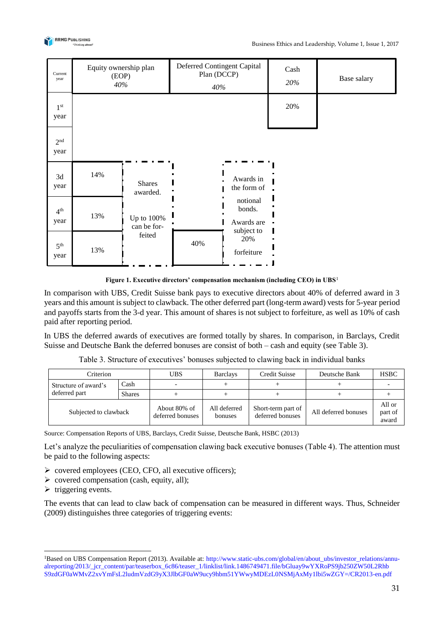



**Figure 1. Executive directors' compensation mechanism (including CEO) in UBS**<sup>1</sup>

In comparison with UBS, Credit Suisse bank pays to executive directors about 40% of deferred award in 3 years and this amount is subject to clawback. The other deferred part (long-term award) vests for 5-year period and payoffs starts from the 3-d year. This amount of shares is not subject to forfeiture, as well as 10% of cash paid after reporting period.

In UBS the deferred awards of executives are formed totally by shares. In comparison, in Barclays, Credit Suisse and Deutsche Bank the deferred bonuses are consist of both – cash and equity (see Table 3).

| Criterion                             |               | <b>UBS</b>                       | <b>Barclays</b>         | Credit Suisse                          | Deutsche Bank        | <b>HSBC</b>                |
|---------------------------------------|---------------|----------------------------------|-------------------------|----------------------------------------|----------------------|----------------------------|
| Structure of award's<br>deferred part | Cash          |                                  |                         |                                        |                      |                            |
|                                       | <b>Shares</b> |                                  |                         |                                        |                      |                            |
| Subjected to clawback                 |               | About 80% of<br>deferred bonuses | All deferred<br>bonuses | Short-term part of<br>deferred bonuses | All deferred bonuses | All or<br>part of<br>award |

Table 3. Structure of executives' bonuses subjected to clawing back in individual banks

Source: Compensation Reports of UBS, Barclays, Credit Suisse, Deutsche Bank, HSBC (2013)

Let's analyze the peculiarities of compensation clawing back executive bonuses (Table 4). The attention must be paid to the following aspects:

- ➢ covered employees (CEO, CFO, all executive officers);
- $\triangleright$  covered compensation (cash, equity, all);
- $\triangleright$  triggering events.

The events that can lead to claw back of compensation can be measured in different ways. Thus, Schneider (2009) distinguishes three categories of triggering events:

l <sup>1</sup>Based on UBS Compensation Report (2013). Available at: [http://www.static-ubs.com/global/en/about\\_ubs/investor\\_relations/annu](http://www.static-ubs.com/global/en/about_ubs/investor_relations/annualreporting/2013/_jcr_content/par/teaserbox_6c86/teaser_1/linklist/link.1486749471.file/bGluay9wYXRoPS9jb250ZW50L2RhbS9zdGF0aWMvZ2xvYmFsL2ludmVzdG9yX3JlbGF0aW9ucy9hbm51YWwyMDEzL0NSMjAxMy1lbi5wZGY=/CR2013-en.pdf)[alreporting/2013/\\_jcr\\_content/par/teaserbox\\_6c86/teaser\\_1/linklist/link.1486749471.file/bGluay9wYXRoPS9jb250ZW50L2Rhb](http://www.static-ubs.com/global/en/about_ubs/investor_relations/annualreporting/2013/_jcr_content/par/teaserbox_6c86/teaser_1/linklist/link.1486749471.file/bGluay9wYXRoPS9jb250ZW50L2RhbS9zdGF0aWMvZ2xvYmFsL2ludmVzdG9yX3JlbGF0aW9ucy9hbm51YWwyMDEzL0NSMjAxMy1lbi5wZGY=/CR2013-en.pdf) [S9zdGF0aWMvZ2xvYmFsL2ludmVzdG9yX3JlbGF0aW9ucy9hbm51YWwyMDEzL0NSMjAxMy1lbi5wZGY=/CR2013-en.pdf](http://www.static-ubs.com/global/en/about_ubs/investor_relations/annualreporting/2013/_jcr_content/par/teaserbox_6c86/teaser_1/linklist/link.1486749471.file/bGluay9wYXRoPS9jb250ZW50L2RhbS9zdGF0aWMvZ2xvYmFsL2ludmVzdG9yX3JlbGF0aW9ucy9hbm51YWwyMDEzL0NSMjAxMy1lbi5wZGY=/CR2013-en.pdf)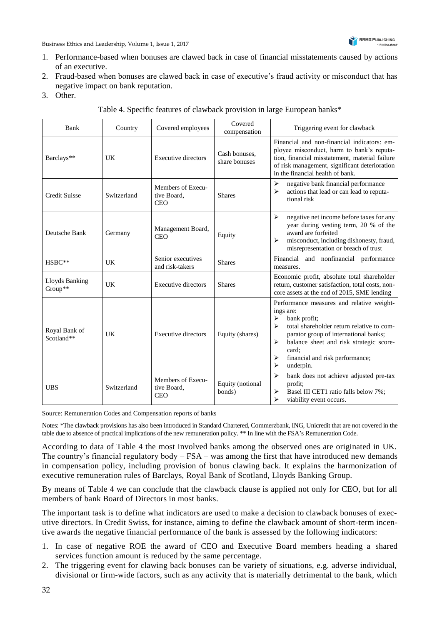Business Ethics and Leadership, Volume 1, Issue 1, 2017

- 1. Performance-based when bonuses are clawed back in case of financial misstatements caused by actions of an executive.
- 2. Fraud-based when bonuses are clawed back in case of executive's fraud activity or misconduct that has negative impact on bank reputation.
- 3. Other.

| Bank                        | Country     | Covered employees                              | Covered<br>compensation        | Triggering event for clawback                                                                                                                                                                                                                                                             |  |
|-----------------------------|-------------|------------------------------------------------|--------------------------------|-------------------------------------------------------------------------------------------------------------------------------------------------------------------------------------------------------------------------------------------------------------------------------------------|--|
| Barclays**                  | <b>UK</b>   | <b>Executive directors</b>                     | Cash bonuses.<br>share bonuses | Financial and non-financial indicators: em-<br>ployee misconduct, harm to bank's reputa-<br>tion, financial misstatement, material failure<br>of risk management, significant deterioration<br>in the financial health of bank.                                                           |  |
| <b>Credit Suisse</b>        | Switzerland | Members of Execu-<br>tive Board.<br><b>CEO</b> | <b>Shares</b>                  | $\blacktriangleright$<br>negative bank financial performance<br>➤<br>actions that lead or can lead to reputa-<br>tional risk                                                                                                                                                              |  |
| Deutsche Bank               | Germany     | Management Board,<br><b>CEO</b>                | Equity                         | $\blacktriangleright$<br>negative net income before taxes for any<br>year during vesting term, 20 % of the<br>award are forfeited<br>misconduct, including dishonesty, fraud,<br>⋗<br>misrepresentation or breach of trust                                                                |  |
| HSBC**                      | <b>UK</b>   | Senior executives<br>and risk-takers           | <b>Shares</b>                  | Financial<br>and nonfinancial performance<br>measures.                                                                                                                                                                                                                                    |  |
| Lloyds Banking<br>Group**   | UK          | <b>Executive directors</b>                     | <b>Shares</b>                  | Economic profit, absolute total shareholder<br>return, customer satisfaction, total costs, non-<br>core assets at the end of 2015, SME lending                                                                                                                                            |  |
| Royal Bank of<br>Scotland** | UK          | <b>Executive directors</b>                     | Equity (shares)                | Performance measures and relative weight-<br>ings are:<br>➤<br>bank profit;<br>total shareholder return relative to com-<br>↘<br>parator group of international banks;<br>balance sheet and risk strategic score-<br>➤<br>card:<br>financial and risk performance;<br>➤<br>⋗<br>underpin. |  |
| <b>UBS</b>                  | Switzerland | Members of Execu-<br>tive Board.<br><b>CEO</b> | Equity (notional<br>bonds)     | $\blacktriangleright$<br>bank does not achieve adjusted pre-tax<br>profit;<br>Basel III CET1 ratio falls below 7%;<br>➤<br>⋗<br>viability event occurs.                                                                                                                                   |  |

#### Table 4. Specific features of clawback provision in large European banks\*

Source: Remuneration Codes and Compensation reports of banks

Notes: \*The clawback provisions has also been introduced in Standard Chartered, Commerzbank, ING, Unicredit that are not covered in the table due to absence of practical implications of the new remuneration policy. \*\* In line with the FSA's Remuneration Code.

According to data of Table 4 the most involved banks among the observed ones are originated in UK. The country's financial regulatory body – FSA – was among the first that have introduced new demands in compensation policy, including provision of bonus clawing back. It explains the harmonization of executive remuneration rules of Barclays, Royal Bank of Scotland, Lloyds Banking Group.

By means of Table 4 we can conclude that the clawback clause is applied not only for CEO, but for all members of bank Board of Directors in most banks.

The important task is to define what indicators are used to make a decision to clawback bonuses of executive directors. In Credit Swiss, for instance, aiming to define the clawback amount of short-term incentive awards the negative financial performance of the bank is assessed by the following indicators:

- 1. In case of negative ROE the award of CEO and Executive Board members heading a shared services function amount is reduced by the same percentage.
- 2. The triggering event for clawing back bonuses can be variety of situations, e.g. adverse individual, divisional or firm-wide factors, such as any activity that is materially detrimental to the bank, which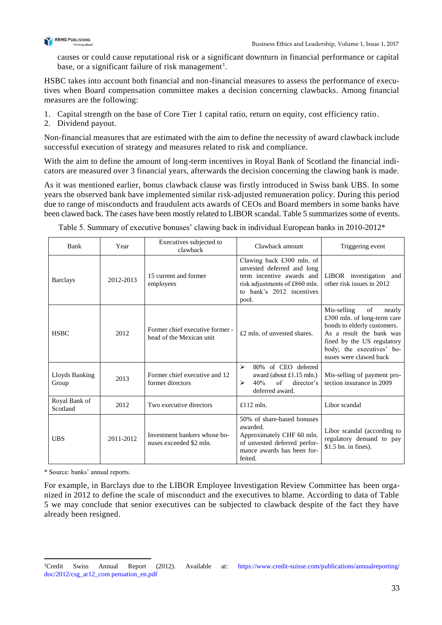

causes or could cause reputational risk or a significant downturn in financial performance or capital base, or a significant failure of risk management<sup>1</sup>.

HSBC takes into account both financial and non-financial measures to assess the performance of executives when Board compensation committee makes a decision concerning clawbacks. Among financial measures are the following:

- 1. Capital strength on the base of Core Tier 1 capital ratio, return on equity, cost efficiency ratio.
- 2. Dividend payout.

Non-financial measures that are estimated with the aim to define the necessity of award clawback include successful execution of strategy and measures related to risk and compliance.

With the aim to define the amount of long-term incentives in Royal Bank of Scotland the financial indicators are measured over 3 financial years, afterwards the decision concerning the clawing bank is made.

As it was mentioned earlier, bonus clawback clause was firstly introduced in Swiss bank UBS. In some years the observed bank have implemented similar risk-adjusted remuneration policy. During this period due to range of misconducts and fraudulent acts awards of CEOs and Board members in some banks have been clawed back. The cases have been mostly related to LIBOR scandal. Table 5 summarizes some of events.

| Bank                      | Year      | Executives subjected to<br>clawback                         | Clawback amount                                                                                                                                             | Triggering event                                                                                                                                                                                           |  |
|---------------------------|-----------|-------------------------------------------------------------|-------------------------------------------------------------------------------------------------------------------------------------------------------------|------------------------------------------------------------------------------------------------------------------------------------------------------------------------------------------------------------|--|
| <b>Barclays</b>           | 2012-2013 | 15 current and former<br>employees                          | Clawing back £300 mln. of<br>unvested deferred and long<br>term incentive awards and<br>risk adjustments of £860 mln.<br>to bank's 2012 incentives<br>pool. | LIBOR investigation and<br>other risk issues in 2012                                                                                                                                                       |  |
| <b>HSBC</b>               | 2012      | Former chief executive former -<br>head of the Mexican unit | £2 mln. of unvested shares.                                                                                                                                 | Mis-selling<br>of<br>nearly<br>£300 mln. of long-term care<br>bonds to elderly customers.<br>As a result the bank was<br>fined by the US regulatory<br>body; the executives' bo-<br>nuses were clawed back |  |
| Lloyds Banking<br>Group   | 2013      | Former chief executive and 12<br>former directors           | $\blacktriangleright$<br>80% of CEO deferred<br>award (about £1.15 mln.)<br>$\sigma$ f<br>40%<br>director's<br>$\blacktriangleright$<br>deferred award.     | Mis-selling of payment pro-<br>tection insurance in 2009                                                                                                                                                   |  |
| Royal Bank of<br>Scotland | 2012      | Two executive directors                                     | £112 mln.                                                                                                                                                   | Libor scandal                                                                                                                                                                                              |  |
| <b>UBS</b>                | 2011-2012 | Investment bankers whose bo-<br>nuses exceeded \$2 mln.     | 50% of share-based bonuses<br>awarded.<br>Approximately CHF 60 mln.<br>of unvested deferred perfor-<br>mance awards has been for-<br>feited.                | Libor scandal (according to<br>regulatory demand to pay<br>$$1.5$ bn. in fines).                                                                                                                           |  |

Table 5. Summary of executive bonuses' clawing back in individual European banks in 2010-2012\*

\* Source: banks' annual reports.

l

For example, in Barclays due to the LIBOR Employee Investigation Review Committee has been organized in 2012 to define the scale of misconduct and the executives to blame. According to data of Table 5 we may conclude that senior executives can be subjected to clawback despite of the fact they have already been resigned.

<sup>1</sup>Credit Swiss Annual Report (2012). Available at: [https://www.credit-suisse.com/publications/annualreporting/](https://www.credit-suisse.com/publications/annualreporting/doc/2012/csg_ar12_com%20pensation_en.pdf) [doc/2012/csg\\_ar12\\_com pensation\\_en.pdf](https://www.credit-suisse.com/publications/annualreporting/doc/2012/csg_ar12_com%20pensation_en.pdf)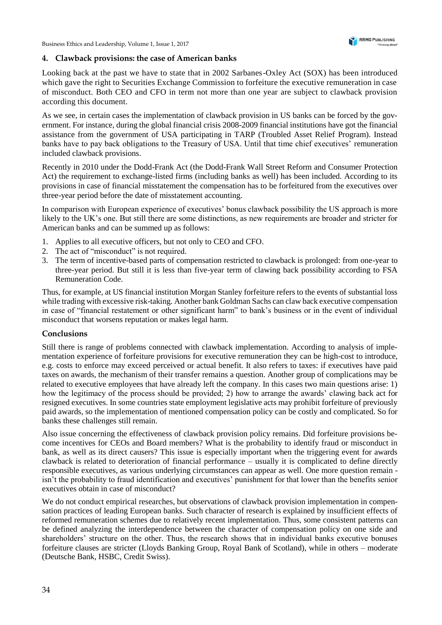Business Ethics and Leadership, Volume 1, Issue 1, 2017



#### **4. Clawback provisions: the case of American banks**

Looking back at the past we have to state that in 2002 Sarbanes-Oxley Act (SOX) has been introduced which gave the right to Securities Exchange Commission to forfeiture the executive remuneration in case of misconduct. Both CEO and CFO in term not more than one year are subject to clawback provision according this document.

As we see, in certain cases the implementation of clawback provision in US banks can be forced by the government. For instance, during the global financial crisis 2008-2009 financial institutions have got the financial assistance from the government of USA participating in TARP (Troubled Asset Relief Program). Instead banks have to pay back obligations to the Treasury of USA. Until that time chief executives' remuneration included clawback provisions.

Recently in 2010 under the Dodd-Frank Act (the Dodd-Frank Wall Street Reform and Consumer Protection Act) the requirement to exchange-listed firms (including banks as well) has been included. According to its provisions in case of financial misstatement the compensation has to be forfeitured from the executives over three-year period before the date of misstatement accounting.

In comparison with European experience of executives' bonus clawback possibility the US approach is more likely to the UK's one. But still there are some distinctions, as new requirements are broader and stricter for American banks and can be summed up as follows:

- 1. Applies to all executive officers, but not only to CEO and CFO.
- 2. The act of "misconduct" is not required.
- 3. The term of incentive-based parts of compensation restricted to clawback is prolonged: from one-year to three-year period. But still it is less than five-year term of clawing back possibility according to FSA Remuneration Code.

Thus, for example, at US financial institution Morgan Stanley forfeiture refers to the events of substantial loss while trading with excessive risk-taking. Another bank Goldman Sachs can claw back executive compensation in case of "financial restatement or other significant harm" to bank's business or in the event of individual misconduct that worsens reputation or makes legal harm.

#### **Conclusions**

Still there is range of problems connected with clawback implementation. According to analysis of implementation experience of forfeiture provisions for executive remuneration they can be high-cost to introduce, e.g. costs to enforce may exceed perceived or actual benefit. It also refers to taxes: if executives have paid taxes on awards, the mechanism of their transfer remains a question. Another group of complications may be related to executive employees that have already left the company. In this cases two main questions arise: 1) how the legitimacy of the process should be provided; 2) how to arrange the awards' clawing back act for resigned executives. In some countries state employment legislative acts may prohibit forfeiture of previously paid awards, so the implementation of mentioned compensation policy can be costly and complicated. So for banks these challenges still remain.

Also issue concerning the effectiveness of clawback provision policy remains. Did forfeiture provisions become incentives for CEOs and Board members? What is the probability to identify fraud or misconduct in bank, as well as its direct causers? This issue is especially important when the triggering event for awards clawback is related to deterioration of financial performance – usually it is complicated to define directly responsible executives, as various underlying circumstances can appear as well. One more question remain isn't the probability to fraud identification and executives' punishment for that lower than the benefits senior executives obtain in case of misconduct?

We do not conduct empirical researches, but observations of clawback provision implementation in compensation practices of leading European banks. Such character of research is explained by insufficient effects of reformed remuneration schemes due to relatively recent implementation. Thus, some consistent patterns can be defined analyzing the interdependence between the character of compensation policy on one side and shareholders' structure on the other. Thus, the research shows that in individual banks executive bonuses forfeiture clauses are stricter (Lloyds Banking Group, Royal Bank of Scotland), while in others – moderate (Deutsche Bank, HSBC, Credit Swiss).